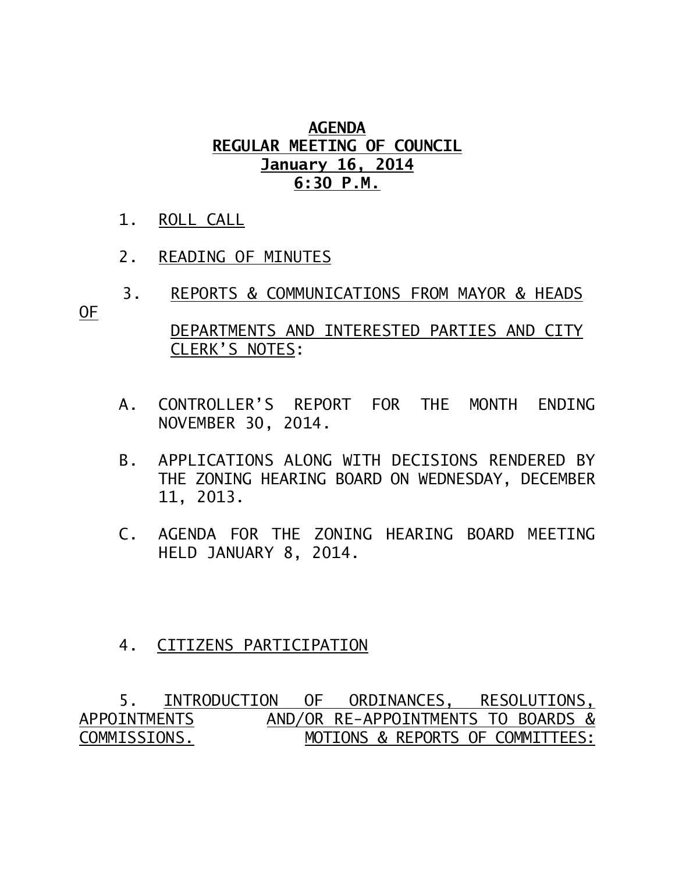## **AGENDA REGULAR MEETING OF COUNCIL January 16, 2014 6:30 P.M.**

- 1. ROLL CALL
- 2. READING OF MINUTES
- 3. REPORTS & COMMUNICATIONS FROM MAYOR & HEADS OF DEPARTMENTS AND INTERESTED PARTIES AND CITY

CLERK'S NOTES:

- A. CONTROLLER'S REPORT FOR THE MONTH ENDING NOVEMBER 30, 2014.
- B. APPLICATIONS ALONG WITH DECISIONS RENDERED BY THE ZONING HEARING BOARD ON WEDNESDAY, DECEMBER 11, 2013.
- C. AGENDA FOR THE ZONING HEARING BOARD MEETING HELD JANUARY 8, 2014.

## 4. CITIZENS PARTICIPATION

 5. INTRODUCTION OF ORDINANCES, RESOLUTIONS, APPOINTMENTSAND/OR RE-APPOINTMENTS TO BOARDS & COMMISSIONS. MOTIONS & REPORTS OF COMMITTEES: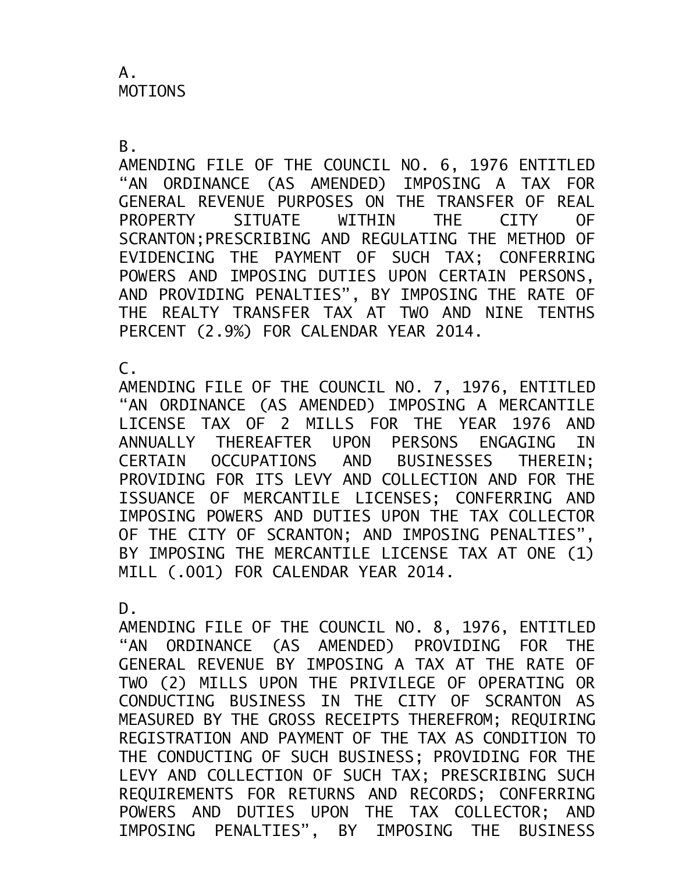B.

AMENDING FILE OF THE COUNCIL NO. 6, 1976 ENTITLED "AN ORDINANCE (AS AMENDED) IMPOSING A TAX FOR GENERAL REVENUE PURPOSES ON THE TRANSFER OF REAL PROPERTY SITUATE WITHIN THE CITY OF SCRANTON;PRESCRIBING AND REGULATING THE METHOD OF EVIDENCING THE PAYMENT OF SUCH TAX; CONFERRING POWERS AND IMPOSING DUTIES UPON CERTAIN PERSONS, AND PROVIDING PENALTIES", BY IMPOSING THE RATE OF THE REALTY TRANSFER TAX AT TWO AND NINE TENTHS PERCENT (2.9%) FOR CALENDAR YEAR 2014.

C.

AMENDING FILE OF THE COUNCIL NO. 7, 1976, ENTITLED "AN ORDINANCE (AS AMENDED) IMPOSING A MERCANTILE LICENSE TAX OF 2 MILLS FOR THE YEAR 1976 AND ANNUALLY THEREAFTER UPON PERSONS ENGAGING IN CERTAIN OCCUPATIONS AND BUSINESSES THEREIN; PROVIDING FOR ITS LEVY AND COLLECTION AND FOR THE ISSUANCE OF MERCANTILE LICENSES; CONFERRING AND IMPOSING POWERS AND DUTIES UPON THE TAX COLLECTOR OF THE CITY OF SCRANTON; AND IMPOSING PENALTIES", BY IMPOSING THE MERCANTILE LICENSE TAX AT ONE (1) MILL (.001) FOR CALENDAR YEAR 2014.

D.

AMENDING FILE OF THE COUNCIL NO. 8, 1976, ENTITLED "AN ORDINANCE (AS AMENDED) PROVIDING FOR THE GENERAL REVENUE BY IMPOSING A TAX AT THE RATE OF TWO (2) MILLS UPON THE PRIVILEGE OF OPERATING OR CONDUCTING BUSINESS IN THE CITY OF SCRANTON AS MEASURED BY THE GROSS RECEIPTS THEREFROM; REQUIRING REGISTRATION AND PAYMENT OF THE TAX AS CONDITION TO THE CONDUCTING OF SUCH BUSINESS; PROVIDING FOR THE LEVY AND COLLECTION OF SUCH TAX; PRESCRIBING SUCH REQUIREMENTS FOR RETURNS AND RECORDS; CONFERRING POWERS AND DUTIES UPON THE TAX COLLECTOR; AND IMPOSING PENALTIES", BY IMPOSING THE BUSINESS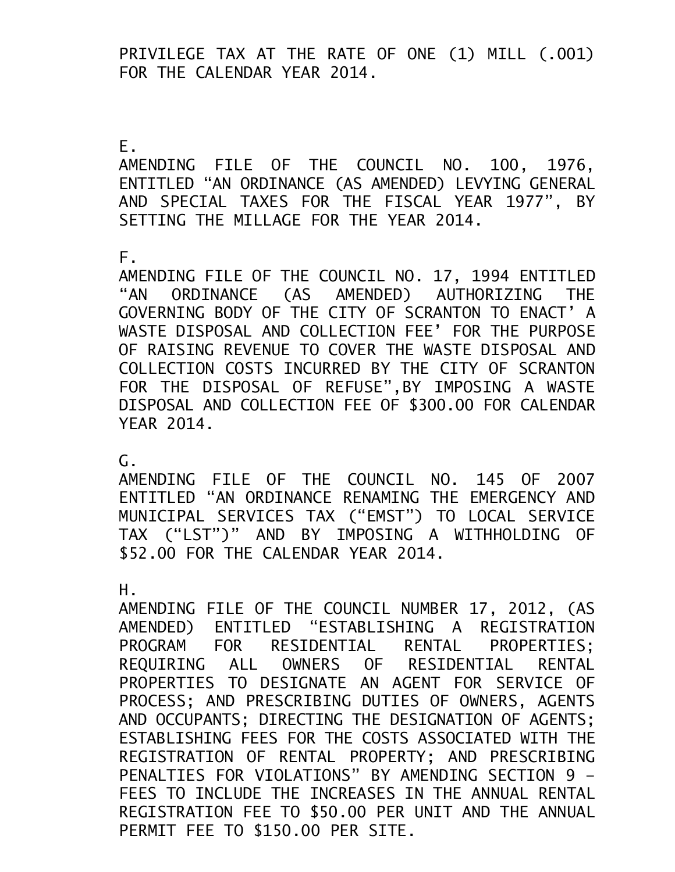PRIVILEGE TAX AT THE RATE OF ONE (1) MILL (.001) FOR THE CALENDAR YEAR 2014.

E.

AMENDING FILE OF THE COUNCIL NO. 100, 1976, ENTITLED "AN ORDINANCE (AS AMENDED) LEVYING GENERAL AND SPECIAL TAXES FOR THE FISCAL YEAR 1977", BY SETTING THE MILLAGE FOR THE YEAR 2014.

F.

AMENDING FILE OF THE COUNCIL NO. 17, 1994 ENTITLED "AN ORDINANCE (AS AMENDED) AUTHORIZING THE GOVERNING BODY OF THE CITY OF SCRANTON TO ENACT' A WASTE DISPOSAL AND COLLECTION FEE' FOR THE PURPOSE OF RAISING REVENUE TO COVER THE WASTE DISPOSAL AND COLLECTION COSTS INCURRED BY THE CITY OF SCRANTON FOR THE DISPOSAL OF REFUSE",BY IMPOSING A WASTE DISPOSAL AND COLLECTION FEE OF \$300.00 FOR CALENDAR YEAR 2014.

G.

AMENDING FILE OF THE COUNCIL NO. 145 OF 2007 ENTITLED "AN ORDINANCE RENAMING THE EMERGENCY AND MUNICIPAL SERVICES TAX ("EMST") TO LOCAL SERVICE TAX ("LST")" AND BY IMPOSING A WITHHOLDING OF \$52.00 FOR THE CALENDAR YEAR 2014.

H.

AMENDING FILE OF THE COUNCIL NUMBER 17, 2012, (AS AMENDED) ENTITLED "ESTABLISHING A REGISTRATION PROGRAM FOR RESIDENTIAL RENTAL PROPERTIES; REQUIRING ALL OWNERS OF RESIDENTIAL RENTAL PROPERTIES TO DESIGNATE AN AGENT FOR SERVICE OF PROCESS; AND PRESCRIBING DUTIES OF OWNERS, AGENTS AND OCCUPANTS; DIRECTING THE DESIGNATION OF AGENTS; ESTABLISHING FEES FOR THE COSTS ASSOCIATED WITH THE REGISTRATION OF RENTAL PROPERTY; AND PRESCRIBING PENALTIES FOR VIOLATIONS" BY AMENDING SECTION 9 – FEES TO INCLUDE THE INCREASES IN THE ANNUAL RENTAL REGISTRATION FEE TO \$50.00 PER UNIT AND THE ANNUAL PERMIT FEE TO \$150.00 PER SITE.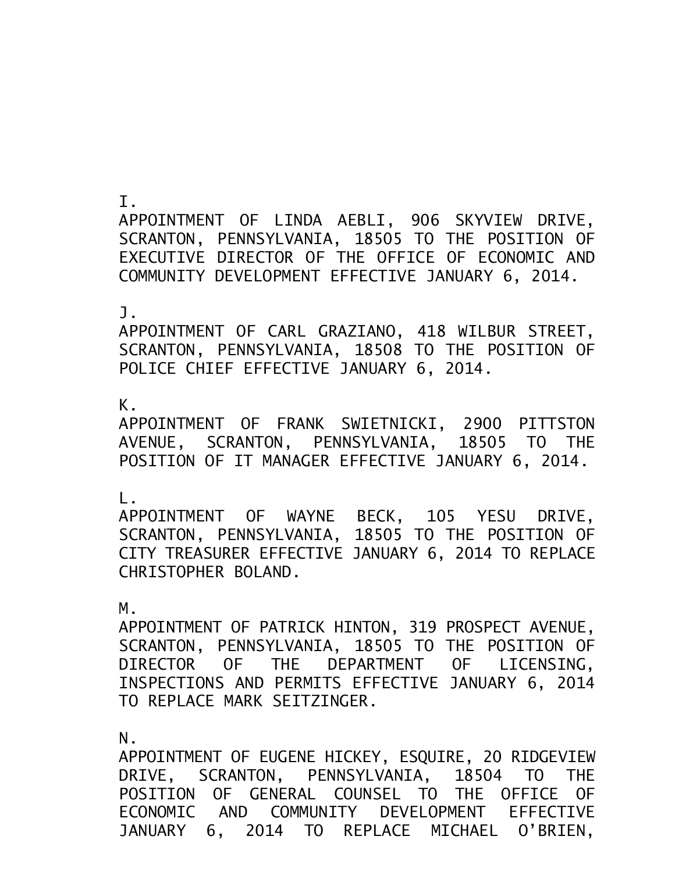I.

APPOINTMENT OF LINDA AEBLI, 906 SKYVIEW DRIVE, SCRANTON, PENNSYLVANIA, 18505 TO THE POSITION OF EXECUTIVE DIRECTOR OF THE OFFICE OF ECONOMIC AND COMMUNITY DEVELOPMENT EFFECTIVE JANUARY 6, 2014.

J.

APPOINTMENT OF CARL GRAZIANO, 418 WILBUR STREET, SCRANTON, PENNSYLVANIA, 18508 TO THE POSITION OF POLICE CHIEF EFFECTIVE JANUARY 6, 2014.

K.

APPOINTMENT OF FRANK SWIETNICKI, 2900 PITTSTON AVENUE, SCRANTON, PENNSYLVANIA, 18505 TO THE POSITION OF IT MANAGER EFFECTIVE JANUARY 6, 2014.

L.

APPOINTMENT OF WAYNE BECK, 105 YESU DRIVE, SCRANTON, PENNSYLVANIA, 18505 TO THE POSITION OF CITY TREASURER EFFECTIVE JANUARY 6, 2014 TO REPLACE CHRISTOPHER BOLAND.

M.

APPOINTMENT OF PATRICK HINTON, 319 PROSPECT AVENUE, SCRANTON, PENNSYLVANIA, 18505 TO THE POSITION OF DIRECTOR OF THE DEPARTMENT OF LICENSING, INSPECTIONS AND PERMITS EFFECTIVE JANUARY 6, 2014 TO REPLACE MARK SEITZINGER.

N.

APPOINTMENT OF EUGENE HICKEY, ESQUIRE, 20 RIDGEVIEW DRIVE, SCRANTON, PENNSYLVANIA, 18504 TO THE POSITION OF GENERAL COUNSEL TO THE OFFICE OF ECONOMIC AND COMMUNITY DEVELOPMENT EFFECTIVE JANUARY 6, 2014 TO REPLACE MICHAEL O'BRIEN,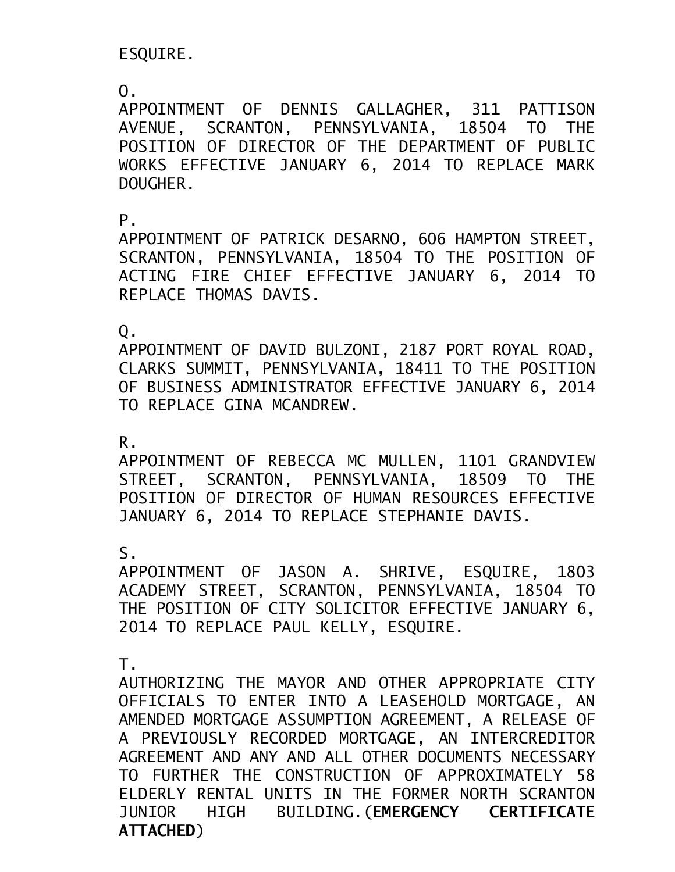ESQUIRE.

 $\overline{0}$ .

APPOINTMENT OF DENNIS GALLAGHER, 311 PATTISON AVENUE, SCRANTON, PENNSYLVANIA, 18504 TO THE POSITION OF DIRECTOR OF THE DEPARTMENT OF PUBLIC WORKS EFFECTIVE JANUARY 6, 2014 TO REPLACE MARK DOUGHER.

P.

APPOINTMENT OF PATRICK DESARNO, 606 HAMPTON STREET, SCRANTON, PENNSYLVANIA, 18504 TO THE POSITION OF ACTING FIRE CHIEF EFFECTIVE JANUARY 6, 2014 TO REPLACE THOMAS DAVIS.

Q.

APPOINTMENT OF DAVID BULZONI, 2187 PORT ROYAL ROAD, CLARKS SUMMIT, PENNSYLVANIA, 18411 TO THE POSITION OF BUSINESS ADMINISTRATOR EFFECTIVE JANUARY 6, 2014 TO REPLACE GINA MCANDREW.

R.

APPOINTMENT OF REBECCA MC MULLEN, 1101 GRANDVIEW STREET, SCRANTON, PENNSYLVANIA, 18509 TO THE POSITION OF DIRECTOR OF HUMAN RESOURCES EFFECTIVE JANUARY 6, 2014 TO REPLACE STEPHANIE DAVIS.

S.

APPOINTMENT OF JASON A. SHRIVE, ESQUIRE, 1803 ACADEMY STREET, SCRANTON, PENNSYLVANIA, 18504 TO THE POSITION OF CITY SOLICITOR EFFECTIVE JANUARY 6, 2014 TO REPLACE PAUL KELLY, ESQUIRE.

T.

AUTHORIZING THE MAYOR AND OTHER APPROPRIATE CITY OFFICIALS TO ENTER INTO A LEASEHOLD MORTGAGE, AN AMENDED MORTGAGE ASSUMPTION AGREEMENT, A RELEASE OF A PREVIOUSLY RECORDED MORTGAGE, AN INTERCREDITOR AGREEMENT AND ANY AND ALL OTHER DOCUMENTS NECESSARY TO FURTHER THE CONSTRUCTION OF APPROXIMATELY 58 ELDERLY RENTAL UNITS IN THE FORMER NORTH SCRANTON JUNIOR HIGH BUILDING.(**EMERGENCY CERTIFICATE ATTACHED**)